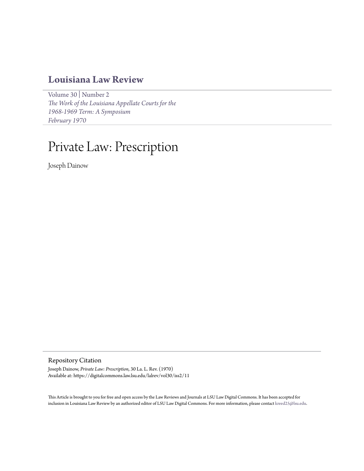# **[Louisiana Law Review](https://digitalcommons.law.lsu.edu/lalrev)**

[Volume 30](https://digitalcommons.law.lsu.edu/lalrev/vol30) | [Number 2](https://digitalcommons.law.lsu.edu/lalrev/vol30/iss2) *[The Work of the Louisiana Appellate Courts for the](https://digitalcommons.law.lsu.edu/lalrev/vol30/iss2) [1968-1969 Term: A Symposium](https://digitalcommons.law.lsu.edu/lalrev/vol30/iss2) [February 1970](https://digitalcommons.law.lsu.edu/lalrev/vol30/iss2)*

# Private Law: Prescription

Joseph Dainow

Repository Citation

Joseph Dainow, *Private Law: Prescription*, 30 La. L. Rev. (1970) Available at: https://digitalcommons.law.lsu.edu/lalrev/vol30/iss2/11

This Article is brought to you for free and open access by the Law Reviews and Journals at LSU Law Digital Commons. It has been accepted for inclusion in Louisiana Law Review by an authorized editor of LSU Law Digital Commons. For more information, please contact [kreed25@lsu.edu](mailto:kreed25@lsu.edu).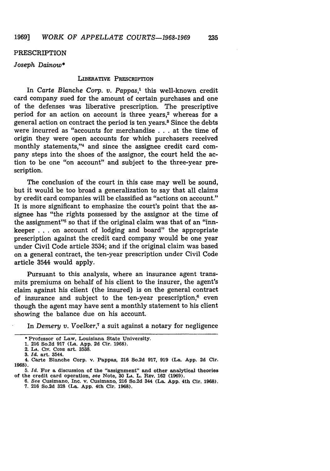#### PRESCRIPTION

# *Joseph Dainow\**

# **LIBERATIVE PRESCRIPTION**

In *Carte Blanche Corp. v. Pappas,'* this well-known credit card company sued for the amount of certain purchases and one of the defenses was liberative prescription. The prescriptive period for an action on account is three years,<sup>2</sup> whereas for a general action on contract the period is ten years.<sup>8</sup> Since the debts were incurred as "accounts for merchandise . . . at the time of origin they were open accounts for which purchasers received monthly statements,"4 and since the assignee credit card company steps into the shoes of the assignor, the court held the action to be one "on account" and subject to the three-year prescription.

The conclusion of the court in this case may well be sound, but it would be too broad a generalization to say that all claims by credit card companies will be classified as "actions on account." It is more significant to emphasize the court's point that the assignee has "the rights possessed by the assignor at the time of the assignment"<sup>5</sup> so that if the original claim was that of an "innkeeper . **.** . on account of lodging and board" the appropriate prescription against the credit card company would be one year under Civil Code article 3534; and if the original claim was based on a general contract, the ten-year prescription under Civil Code article 3544 would apply.

Pursuant to this analysis, where an insurance agent transmits premiums on behalf of his client to the insurer, the agent's claim against his client (the insured) is on the general contract of insurance and subject to the ten-year prescription, $e$  even though the agent may have sent a monthly statement to his client showing the balance due on his account.

In *Demery v. Voelker*,<sup>7</sup> a suit against a notary for negligence

<sup>\*</sup> Professor of Law, Louisiana **State** University.

**<sup>1. 216</sup> So.2d 917** (La. **App. 2d** Cir. **1968).**

<sup>2.</sup> **LA. CIV. CODu** art, **3538.**

**<sup>3.</sup>** *Id.* art. 3544.

**<sup>4.</sup> Carte** Blanche Corp. v. **Pappas, 216** So.2d **917, 919** (La. **App. 2d Cir. 1968).**

*<sup>5.</sup> Id.* For **a** discussion of the "assignment" **and** other analytical theories of **the** credit card operation, *see* Note, **30 LA. L.** REV. **162 (1969).**

**<sup>6.</sup>** See Cusimano, Inc. v. Cusimano, **216** So.2d **344 (La. App.** 4th Cir. **1968). 7. 216** So.2d **328** (La. **App. 4th** Cir. **1968).**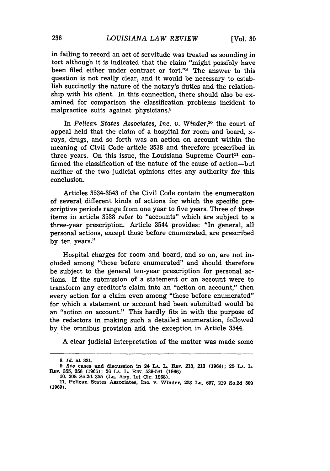in failing to record an act of servitude was treated as sounding in tort although it is indicated that the claim "might possibly have been filed either under contract or tort."s The answer to this question is not really clear, and it would be necessary to establish succinctly the nature of the notary's duties and the relationship with his client. In this connection, there should also be examined for comparison the classification problems incident to malpractice suits against physicians.9

In *Pelican States Associates, Inc. v. Winder*,<sup>10</sup> the court of appeal held that the claim of a hospital for room and board, xrays, drugs, and so forth was an action on account within the meaning of Civil Code article 3538 and therefore prescribed in three years. On this issue, the Louisiana Supreme Court<sup>11</sup> confirmed the classification of the nature of the cause of action-but neither of the two judicial opinions cites any authority for this conclusion.

Articles 3534-3543 of the Civil Code contain the enumeration of several different kinds of actions for which the specific prescriptive periods range from one year to five years. Three of these items in article 3538 refer to "accounts" which are subject to a three-year prescription. Article 3544 provides: "In general, all personal actions, except those before enumerated, are prescribed by ten years."

Hospital charges for room and board, and so on, are not included among "those before enumerated" and should therefore be subject to the general ten-year prescription for personal actions. If the submission of a statement or an account were to transform any creditor's claim into an "action on account," then every action for a claim even among "those before enumerated" for which a statement or account had been submitted would be an "action on account." This hardly fits in with the purpose of the redactors in making such a detailed enumeration, followed by the omnibus provision and the exception in Article 3544.

A clear judicial interpretation of the matter was made some

**<sup>8.</sup>** *Id.* **at 331.**

**<sup>9.</sup>** *See* **cases and discussion in 24 LA. L. REv.** 210, **213 (1964); 25 LA. L. RV. 355, 356 (1965); 26 LA. L.** Rmv. **539-541 (1966). 10. 208** So.2d **355 (La. App. 1st** Cir. **1968).**

**<sup>11.</sup> Pelican** States **Associates, Inc.** v. Winder, **253 La. 697, 219 So.2d 500 (1969).**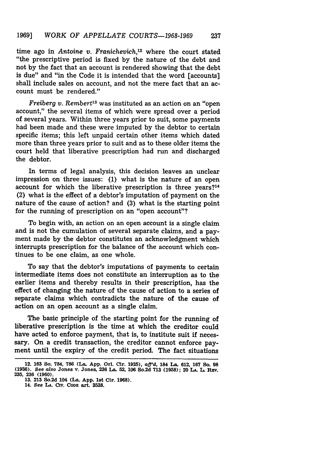time ago in Antoine *v. Franichevich,'2* where the court stated "the prescriptive period is fixed by the nature of the debt and not by the fact that an account is rendered showing that the debt is due" and "in the Code it is intended that the word [accounts] shall include sales on account, and not the mere fact that an account must be rendered."

*Freiberg v. Rembert's* was instituted as an action on an "open account," the several items of which were spread over a period of several years. Within three years prior to suit, some payments had been made and these were imputed by the debtor to certain specific items; this left unpaid certain other items which dated more than three years prior to suit and as to these older items the court held that liberative prescription had run and discharged the debtor.

In terms of legal analysis, this decision leaves an unclear impression on three issues: (1) what is the nature of an open account for which the liberative prescription is three years?<sup>14</sup> (2) what is the effect of a debtor's imputation of payment on the nature of the cause of action? and (3) what is the starting point for the running of prescription on an "open account"?

To begin with, an action on an open account is a single claim and is not the cumulation of several separate claims, and a payment made by the debtor constitutes an acknowledgment which interrupts prescription for the balance of the account which continues to be one claim, as one whole.

To say that the debtor's imputations of payments to certain intermediate items does not constitute an interruption as to the earlier items and thereby results in their prescription, has the effect of changing the nature of the cause of action to a series of separate claims which contradicts the nature of the cause of action on an open account as a single claim.

The basic principle of the starting point for the running of liberative prescription is the time at which the creditor could have acted to enforce payment, that is, to institute suit if necessary. On a credit transaction, the creditor cannot enforce payment until the expiry of the credit period. The fact situations

**<sup>12. 163</sup> So. 784, 786 (La. App. Orl. Cir. 1935),** *aff'd,* **184 La. 612, 167 So. 98 (1936).** *See* **also Jones** v. **Jones, 236 La. 52, 106 So.2d 713 (1958); 20 LA. L. REv. 235, 236 (1960).**

**<sup>13. 213</sup> So.2d 104 (La. App. 1st Cir. 1968).**

<sup>14.</sup> See L<sub>A</sub>. Civ. CoDE art. 3538.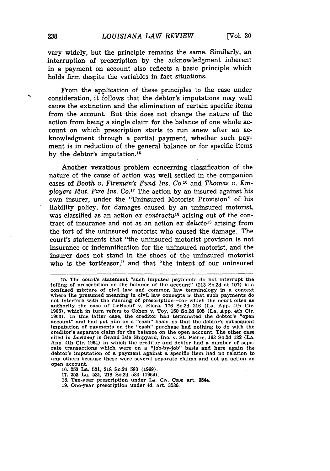vary widely, but the principle remains the same. Similarly, an interruption of prescription **by** the acknowledgment inherent in a payment on account also reflects a basic principle which holds firm despite the variables in fact situations.

From the application of these principles to the case under consideration, it follows that the debtor's imputations may well cause the extinction and the elimination of certain specific items from the account. But this does not change the nature of the action from being a single claim for the balance of one whole account on which prescription starts to run anew after an acknowledgment through a partial payment, whether such payment is in reduction of the general balance or for specific items **by** the debtor's imputation. <sup>15</sup>

Another vexatious problem concerning classification of the nature of the cause of action was well settled in the companion cases of *Booth v. Fireman's Fund Ins. Co.*<sup>16</sup> and *Thomas v. Employers Mut. Fire Ins. Co."'* The action by an insured against his own insurer, under the "Uninsured Motorist Provision" of his liability policy, for damages caused by an uninsured motorist, was classified as an action *ex contractu<sup>18</sup>* arising out of the contract of insurance and not as an action *ex delicto<sup>19</sup>* arising from the tort of the uninsured motorist who caused the damage. The court's statements that "the uninsured motorist provision is not insurance or indemnification for the uninsured motorist, and the insurer does not stand in the shoes of the uninsured motorist who is the tortfeasor," and that "the intent of our uninsured

- **17. 253** La. **531, 218** So.2d 584 **(1969).**
- **18.** Ten-year prescription under **LA.** Cirv. **CODE** art. 3544.
- **19.** One-year prescription under *id.* art. **3536.**

**<sup>15.</sup>** The court's statement "such imputed payments do not interrupt the tolling of prescription on the balance of the account" (213 So.2d at **107)** is a confused mixture of civil law and common law terminology in a context where the presumed meaning in civil law concepts is that such payments do not Interfere with the running **of** prescription-for which the court cites as authority the case of LeBoeuf v. Riera, 176 So.2d 216 (La. App. 4th Cir. 1965), which in turn refers to Cohen v. Toy, **150** So.2d 605 (La. App. 4th Cir. 1963). In this latter case, the creditor had terminated the debtor's "open account" and had put him on a "cash" basis, so that the debtor's subsequent imputation of payments on the "cash" purchase had nothing to do with the creditor's separate claim for the balance on the open account. The other case cited in *LeBoeuf* is Grand Isle Shipyard, Inc. v. St. Pierre, 163 So.2d 132 (La. App. 4th Cir. 1964) in which the creditor and debtor had a number of separate transactions which were on a "job-by-job" basis and here again the debtor's imputation of a payment against a specific item had no relation to any others because these were several separate claims and not an action on open account.

**<sup>16. 253</sup>** La. **521, 218** So.2d **580 (1969).**